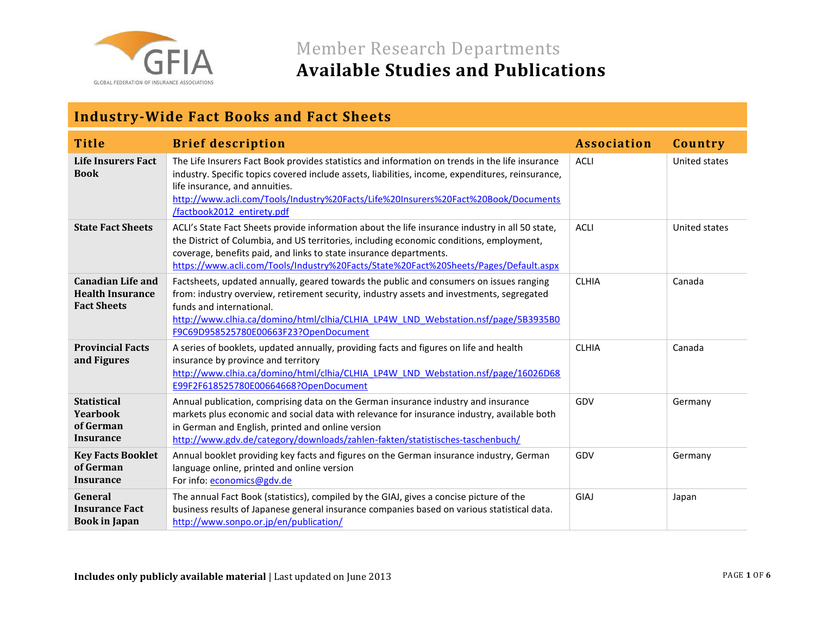

### **Industry-Wide Fact Books and Fact Sheets**

| <b>Title</b>                                                              | <b>Brief description</b>                                                                                                                                                                                                                                                                                                                                   | <b>Association</b> | Country       |
|---------------------------------------------------------------------------|------------------------------------------------------------------------------------------------------------------------------------------------------------------------------------------------------------------------------------------------------------------------------------------------------------------------------------------------------------|--------------------|---------------|
| <b>Life Insurers Fact</b><br><b>Book</b>                                  | The Life Insurers Fact Book provides statistics and information on trends in the life insurance<br>industry. Specific topics covered include assets, liabilities, income, expenditures, reinsurance,<br>life insurance, and annuities.<br>http://www.acli.com/Tools/Industry%20Facts/Life%20Insurers%20Fact%20Book/Documents<br>/factbook2012 entirety.pdf | <b>ACLI</b>        | United states |
| <b>State Fact Sheets</b>                                                  | ACLI's State Fact Sheets provide information about the life insurance industry in all 50 state,<br>the District of Columbia, and US territories, including economic conditions, employment,<br>coverage, benefits paid, and links to state insurance departments.<br>https://www.acli.com/Tools/Industry%20Facts/State%20Fact%20Sheets/Pages/Default.aspx  | <b>ACLI</b>        | United states |
| <b>Canadian Life and</b><br><b>Health Insurance</b><br><b>Fact Sheets</b> | Factsheets, updated annually, geared towards the public and consumers on issues ranging<br>from: industry overview, retirement security, industry assets and investments, segregated<br>funds and international.<br>http://www.clhia.ca/domino/html/clhia/CLHIA LP4W LND Webstation.nsf/page/5B3935B0<br>F9C69D958525780E00663F23?OpenDocument             | <b>CLHIA</b>       | Canada        |
| <b>Provincial Facts</b><br>and Figures                                    | A series of booklets, updated annually, providing facts and figures on life and health<br>insurance by province and territory<br>http://www.clhia.ca/domino/html/clhia/CLHIA LP4W LND Webstation.nsf/page/16026D68<br>E99F2F618525780E00664668?OpenDocument                                                                                                | <b>CLHIA</b>       | Canada        |
| <b>Statistical</b><br>Yearbook<br>of German<br><b>Insurance</b>           | Annual publication, comprising data on the German insurance industry and insurance<br>markets plus economic and social data with relevance for insurance industry, available both<br>in German and English, printed and online version<br>http://www.gdv.de/category/downloads/zahlen-fakten/statistisches-taschenbuch/                                    | GDV                | Germany       |
| <b>Key Facts Booklet</b><br>of German<br><b>Insurance</b>                 | Annual booklet providing key facts and figures on the German insurance industry, German<br>language online, printed and online version<br>For info: economics@gdv.de                                                                                                                                                                                       | GDV                | Germany       |
| General<br><b>Insurance Fact</b><br><b>Book in Japan</b>                  | The annual Fact Book (statistics), compiled by the GIAJ, gives a concise picture of the<br>business results of Japanese general insurance companies based on various statistical data.<br>http://www.sonpo.or.jp/en/publication/                                                                                                                           | GIAJ               | Japan         |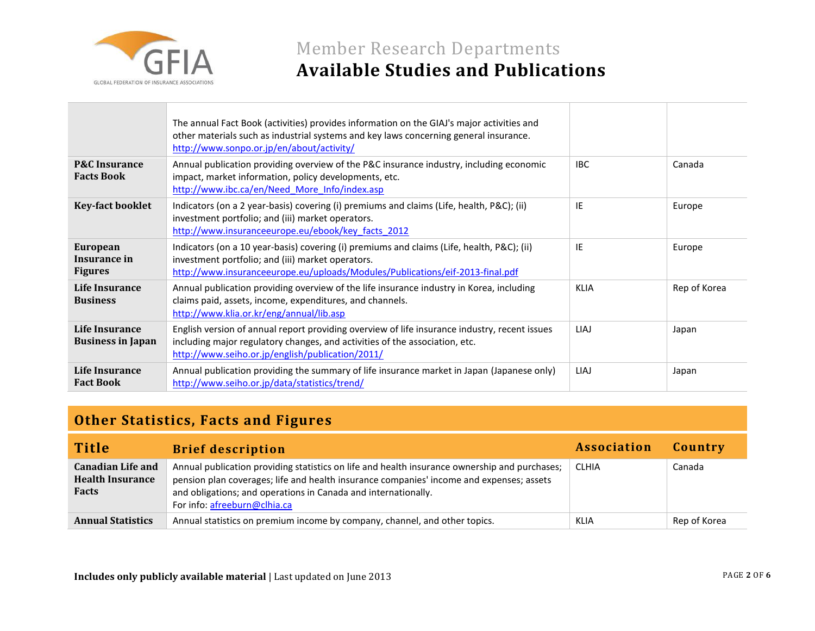

|                                               | The annual Fact Book (activities) provides information on the GIAJ's major activities and<br>other materials such as industrial systems and key laws concerning general insurance.<br>http://www.sonpo.or.jp/en/about/activity/  |             |              |
|-----------------------------------------------|----------------------------------------------------------------------------------------------------------------------------------------------------------------------------------------------------------------------------------|-------------|--------------|
| <b>P&amp;C</b> Insurance<br><b>Facts Book</b> | Annual publication providing overview of the P&C insurance industry, including economic<br>impact, market information, policy developments, etc.<br>http://www.ibc.ca/en/Need More Info/index.asp                                | <b>IBC</b>  | Canada       |
| <b>Key-fact booklet</b>                       | Indicators (on a 2 year-basis) covering (i) premiums and claims (Life, health, P&C); (ii)<br>investment portfolio; and (iii) market operators.<br>http://www.insuranceeurope.eu/ebook/key facts 2012                             | IE          | Europe       |
| European<br>Insurance in<br><b>Figures</b>    | Indicators (on a 10 year-basis) covering (i) premiums and claims (Life, health, P&C); (ii)<br>investment portfolio; and (iii) market operators.<br>http://www.insuranceeurope.eu/uploads/Modules/Publications/eif-2013-final.pdf | IE          | Europe       |
| Life Insurance<br><b>Business</b>             | Annual publication providing overview of the life insurance industry in Korea, including<br>claims paid, assets, income, expenditures, and channels.<br>http://www.klia.or.kr/eng/annual/lib.asp                                 | <b>KLIA</b> | Rep of Korea |
| Life Insurance<br><b>Business in Japan</b>    | English version of annual report providing overview of life insurance industry, recent issues<br>including major regulatory changes, and activities of the association, etc.<br>http://www.seiho.or.jp/english/publication/2011/ | <b>LIAJ</b> | Japan        |
| Life Insurance<br><b>Fact Book</b>            | Annual publication providing the summary of life insurance market in Japan (Japanese only)<br>http://www.seiho.or.jp/data/statistics/trend/                                                                                      | LIAJ        | Japan        |

### **Other Statistics, Facts and Figures**

| <b>Title</b>                                                        | <b>Brief description</b>                                                                                                                                                                                                                                                                    | Association  | Country      |
|---------------------------------------------------------------------|---------------------------------------------------------------------------------------------------------------------------------------------------------------------------------------------------------------------------------------------------------------------------------------------|--------------|--------------|
| <b>Canadian Life and</b><br><b>Health Insurance</b><br><b>Facts</b> | Annual publication providing statistics on life and health insurance ownership and purchases;<br>pension plan coverages; life and health insurance companies' income and expenses; assets<br>and obligations; and operations in Canada and internationally.<br>For info: afreeburn@clhia.ca | <b>CLHIA</b> | Canada       |
| <b>Annual Statistics</b>                                            | Annual statistics on premium income by company, channel, and other topics.                                                                                                                                                                                                                  | <b>KLIA</b>  | Rep of Korea |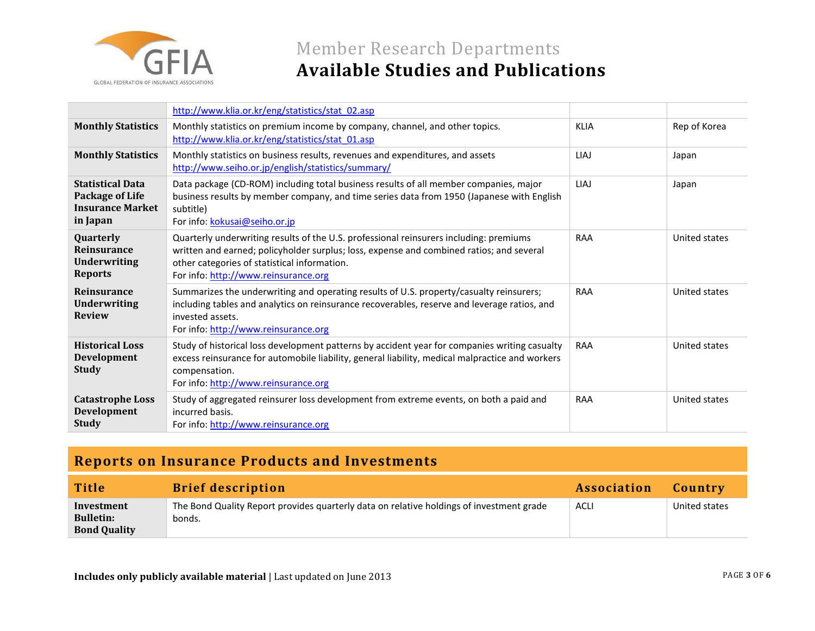

## Member Research Departments **Available Studies and Publications**

|                                                                                   | http://www.klia.or.kr/eng/statistics/stat_02.asp                                                                                                                                                                                                                           |             |               |
|-----------------------------------------------------------------------------------|----------------------------------------------------------------------------------------------------------------------------------------------------------------------------------------------------------------------------------------------------------------------------|-------------|---------------|
| <b>Monthly Statistics</b>                                                         | Monthly statistics on premium income by company, channel, and other topics.<br>http://www.klia.or.kr/eng/statistics/stat 01.asp                                                                                                                                            | <b>KLIA</b> | Rep of Korea  |
| <b>Monthly Statistics</b>                                                         | Monthly statistics on business results, revenues and expenditures, and assets<br>http://www.seiho.or.jp/english/statistics/summary/                                                                                                                                        | LIAJ        | Japan         |
| <b>Statistical Data</b><br>Package of Life<br><b>Insurance Market</b><br>in Japan | Data package (CD-ROM) including total business results of all member companies, major<br>business results by member company, and time series data from 1950 (Japanese with English<br>subtitle)<br>For info: kokusai@seiho.or.jp                                           | LIAJ        | Japan         |
| Quarterly<br><b>Reinsurance</b><br><b>Underwriting</b><br><b>Reports</b>          | Quarterly underwriting results of the U.S. professional reinsurers including: premiums<br>written and earned; policyholder surplus; loss, expense and combined ratios; and several<br>other categories of statistical information.<br>For info: http://www.reinsurance.org | RAA         | United states |
| Reinsurance<br><b>Underwriting</b><br><b>Review</b>                               | Summarizes the underwriting and operating results of U.S. property/casualty reinsurers;<br>including tables and analytics on reinsurance recoverables, reserve and leverage ratios, and<br>invested assets.<br>For info: http://www.reinsurance.org                        | RAA         | United states |
| <b>Historical Loss</b><br>Development<br><b>Study</b>                             | Study of historical loss development patterns by accident year for companies writing casualty<br>excess reinsurance for automobile liability, general liability, medical malpractice and workers<br>compensation.<br>For info: http://www.reinsurance.org                  | RAA         | United states |
| <b>Catastrophe Loss</b><br><b>Development</b><br><b>Study</b>                     | Study of aggregated reinsurer loss development from extreme events, on both a paid and<br>incurred basis.<br>For info: http://www.reinsurance.org                                                                                                                          | RAA         | United states |

### **Reports on Insurance Products and Investments**

| <b>Title</b>                                          | <b>Brief description</b>                                                                           | Association | Country       |
|-------------------------------------------------------|----------------------------------------------------------------------------------------------------|-------------|---------------|
| Investment<br><b>Bulletin:</b><br><b>Bond Quality</b> | The Bond Quality Report provides quarterly data on relative holdings of investment grade<br>bonds. | <b>ACLI</b> | United states |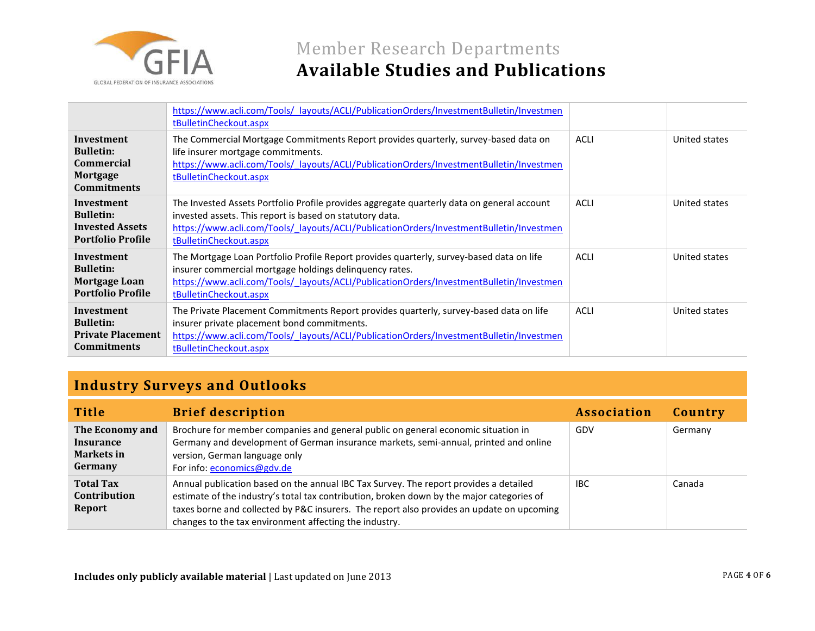

|                                                                                       | https://www.acli.com/Tools/ layouts/ACLI/PublicationOrders/InvestmentBulletin/Investmen<br>tBulletinCheckout.aspx                                                                                                                                                           |             |               |
|---------------------------------------------------------------------------------------|-----------------------------------------------------------------------------------------------------------------------------------------------------------------------------------------------------------------------------------------------------------------------------|-------------|---------------|
| Investment<br><b>Bulletin:</b><br><b>Commercial</b><br>Mortgage<br><b>Commitments</b> | The Commercial Mortgage Commitments Report provides quarterly, survey-based data on<br>life insurer mortgage commitments.<br>https://www.acli.com/Tools/ layouts/ACLI/PublicationOrders/InvestmentBulletin/Investmen<br>tBulletinCheckout.aspx                              | ACLI        | United states |
| Investment<br><b>Bulletin:</b><br><b>Invested Assets</b><br><b>Portfolio Profile</b>  | The Invested Assets Portfolio Profile provides aggregate quarterly data on general account<br>invested assets. This report is based on statutory data.<br>https://www.acli.com/Tools/ layouts/ACLI/PublicationOrders/InvestmentBulletin/Investmen<br>tBulletinCheckout.aspx | ACLI        | United states |
| Investment<br><b>Bulletin:</b><br>Mortgage Loan<br><b>Portfolio Profile</b>           | The Mortgage Loan Portfolio Profile Report provides quarterly, survey-based data on life<br>insurer commercial mortgage holdings delinquency rates.<br>https://www.acli.com/Tools/ layouts/ACLI/PublicationOrders/InvestmentBulletin/Investmen<br>tBulletinCheckout.aspx    | <b>ACLI</b> | United states |
| Investment<br><b>Bulletin:</b><br><b>Private Placement</b><br><b>Commitments</b>      | The Private Placement Commitments Report provides quarterly, survey-based data on life<br>insurer private placement bond commitments.<br>https://www.acli.com/Tools/ layouts/ACLI/PublicationOrders/InvestmentBulletin/Investmen<br>tBulletinCheckout.aspx                  | <b>ACLI</b> | United states |

## **Industry Surveys and Outlooks**

| <b>Title</b>                                                        | <b>Brief description</b>                                                                                                                                                                                                                                                                                                                  | <b>Association</b> | Country |
|---------------------------------------------------------------------|-------------------------------------------------------------------------------------------------------------------------------------------------------------------------------------------------------------------------------------------------------------------------------------------------------------------------------------------|--------------------|---------|
| The Economy and<br><b>Insurance</b><br><b>Markets in</b><br>Germany | Brochure for member companies and general public on general economic situation in<br>Germany and development of German insurance markets, semi-annual, printed and online<br>version, German language only<br>For info: economics@gdv.de                                                                                                  | GDV                | Germany |
| <b>Total Tax</b><br><b>Contribution</b><br>Report                   | Annual publication based on the annual IBC Tax Survey. The report provides a detailed<br>estimate of the industry's total tax contribution, broken down by the major categories of<br>taxes borne and collected by P&C insurers. The report also provides an update on upcoming<br>changes to the tax environment affecting the industry. | <b>IBC</b>         | Canada  |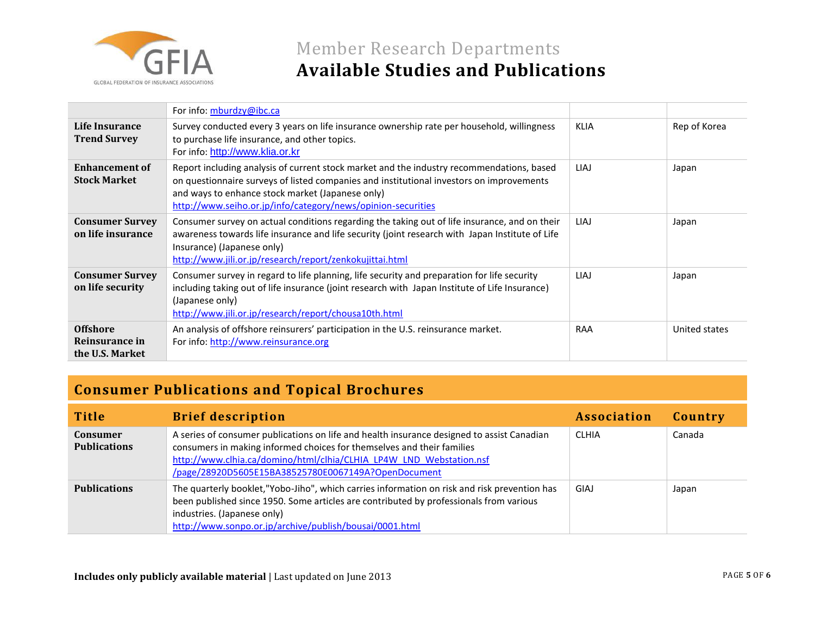

# Member Research Departments **Available Studies and Publications**

|                                                      | For info: mburdzy@ibc.ca                                                                                                                                                                                                                                                                                  |             |               |
|------------------------------------------------------|-----------------------------------------------------------------------------------------------------------------------------------------------------------------------------------------------------------------------------------------------------------------------------------------------------------|-------------|---------------|
| Life Insurance<br><b>Trend Survey</b>                | Survey conducted every 3 years on life insurance ownership rate per household, willingness<br>to purchase life insurance, and other topics.<br>For info: http://www.klia.or.kr                                                                                                                            | <b>KLIA</b> | Rep of Korea  |
| <b>Enhancement of</b><br><b>Stock Market</b>         | Report including analysis of current stock market and the industry recommendations, based<br>on questionnaire surveys of listed companies and institutional investors on improvements<br>and ways to enhance stock market (Japanese only)<br>http://www.seiho.or.jp/info/category/news/opinion-securities | LIAJ        | Japan         |
| <b>Consumer Survey</b><br>on life insurance          | Consumer survey on actual conditions regarding the taking out of life insurance, and on their<br>awareness towards life insurance and life security (joint research with Japan Institute of Life<br>Insurance) (Japanese only)<br>http://www.jili.or.jp/research/report/zenkokujittai.html                | <b>LIAJ</b> | Japan         |
| <b>Consumer Survey</b><br>on life security           | Consumer survey in regard to life planning, life security and preparation for life security<br>including taking out of life insurance (joint research with Japan Institute of Life Insurance)<br>(Japanese only)<br>http://www.jjlj.or.jp/research/report/chousa10th.html                                 | LIAJ        | Japan         |
| <b>Offshore</b><br>Reinsurance in<br>the U.S. Market | An analysis of offshore reinsurers' participation in the U.S. reinsurance market.<br>For info: http://www.reinsurance.org                                                                                                                                                                                 | <b>RAA</b>  | United states |

### **Consumer Publications and Topical Brochures**

| <b>Title</b>                           | <b>Brief description</b>                                                                                                                                                                                                                                                                           | <b>Association</b> | Country |
|----------------------------------------|----------------------------------------------------------------------------------------------------------------------------------------------------------------------------------------------------------------------------------------------------------------------------------------------------|--------------------|---------|
| <b>Consumer</b><br><b>Publications</b> | A series of consumer publications on life and health insurance designed to assist Canadian<br>consumers in making informed choices for themselves and their families<br>http://www.clhia.ca/domino/html/clhia/CLHIA LP4W LND Webstation.nsf<br>/page/28920D5605E15BA38525780E0067149A?OpenDocument | <b>CLHIA</b>       | Canada  |
| <b>Publications</b>                    | The quarterly booklet,"Yobo-Jiho", which carries information on risk and risk prevention has<br>been published since 1950. Some articles are contributed by professionals from various<br>industries. (Japanese only)<br>http://www.sonpo.or.jp/archive/publish/bousai/0001.html                   | GIAJ               | Japan   |